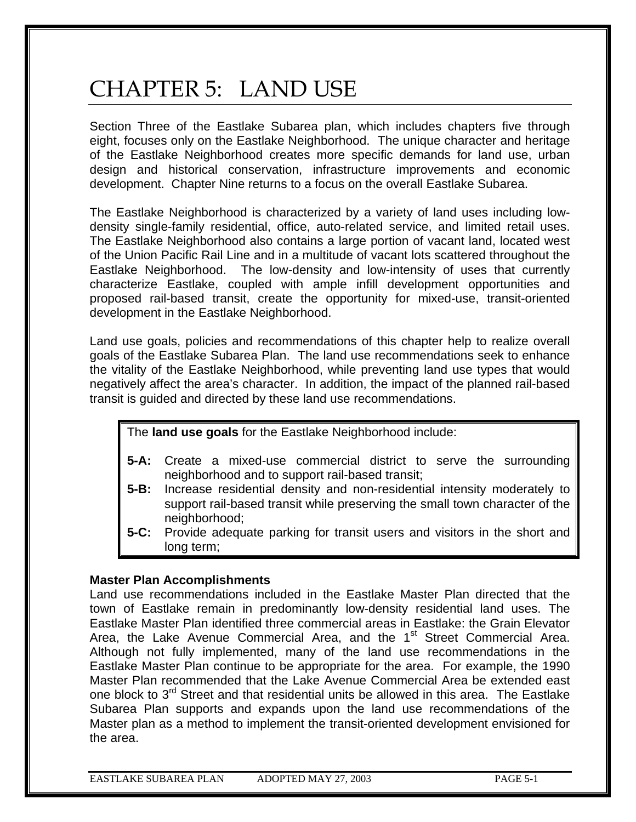# CHAPTER 5: LAND USE

Section Three of the Eastlake Subarea plan, which includes chapters five through eight, focuses only on the Eastlake Neighborhood. The unique character and heritage of the Eastlake Neighborhood creates more specific demands for land use, urban design and historical conservation, infrastructure improvements and economic development. Chapter Nine returns to a focus on the overall Eastlake Subarea.

The Eastlake Neighborhood is characterized by a variety of land uses including lowdensity single-family residential, office, auto-related service, and limited retail uses. The Eastlake Neighborhood also contains a large portion of vacant land, located west of the Union Pacific Rail Line and in a multitude of vacant lots scattered throughout the Eastlake Neighborhood. The low-density and low-intensity of uses that currently characterize Eastlake, coupled with ample infill development opportunities and proposed rail-based transit, create the opportunity for mixed-use, transit-oriented development in the Eastlake Neighborhood.

Land use goals, policies and recommendations of this chapter help to realize overall goals of the Eastlake Subarea Plan. The land use recommendations seek to enhance the vitality of the Eastlake Neighborhood, while preventing land use types that would negatively affect the area's character. In addition, the impact of the planned rail-based transit is guided and directed by these land use recommendations.

The **land use goals** for the Eastlake Neighborhood include:

- **5-A:** Create a mixed-use commercial district to serve the surrounding neighborhood and to support rail-based transit;
- **5-B:** Increase residential density and non-residential intensity moderately to support rail-based transit while preserving the small town character of the neighborhood;
- **5-C:** Provide adequate parking for transit users and visitors in the short and long term;

#### **Master Plan Accomplishments**

Land use recommendations included in the Eastlake Master Plan directed that the town of Eastlake remain in predominantly low-density residential land uses. The Eastlake Master Plan identified three commercial areas in Eastlake: the Grain Elevator Area, the Lake Avenue Commercial Area, and the 1<sup>st</sup> Street Commercial Area. Although not fully implemented, many of the land use recommendations in the Eastlake Master Plan continue to be appropriate for the area. For example, the 1990 Master Plan recommended that the Lake Avenue Commercial Area be extended east one block to 3<sup>rd</sup> Street and that residential units be allowed in this area. The Eastlake Subarea Plan supports and expands upon the land use recommendations of the Master plan as a method to implement the transit-oriented development envisioned for the area.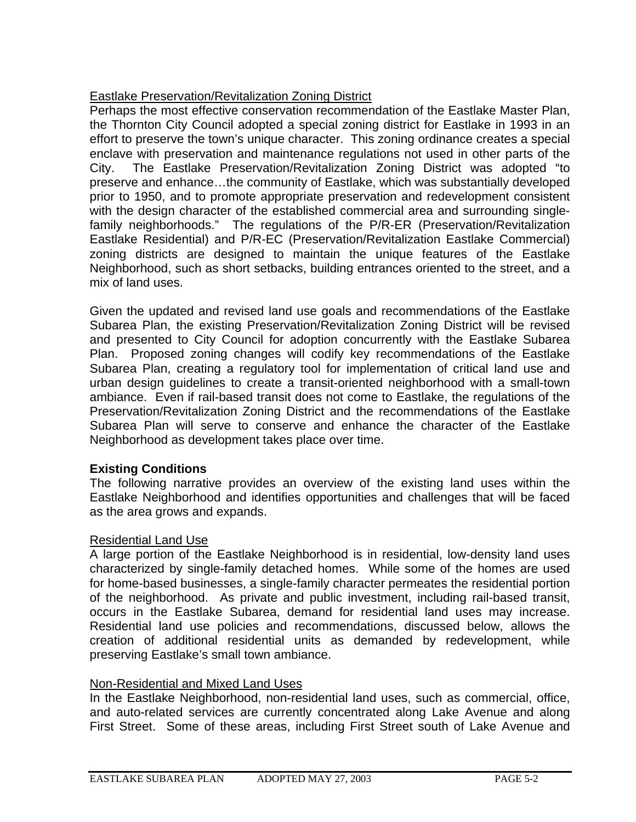# Eastlake Preservation/Revitalization Zoning District

Perhaps the most effective conservation recommendation of the Eastlake Master Plan, the Thornton City Council adopted a special zoning district for Eastlake in 1993 in an effort to preserve the town's unique character. This zoning ordinance creates a special enclave with preservation and maintenance regulations not used in other parts of the City. The Eastlake Preservation/Revitalization Zoning District was adopted "to preserve and enhance…the community of Eastlake, which was substantially developed prior to 1950, and to promote appropriate preservation and redevelopment consistent with the design character of the established commercial area and surrounding singlefamily neighborhoods." The regulations of the P/R-ER (Preservation/Revitalization Eastlake Residential) and P/R-EC (Preservation/Revitalization Eastlake Commercial) zoning districts are designed to maintain the unique features of the Eastlake Neighborhood, such as short setbacks, building entrances oriented to the street, and a mix of land uses.

Given the updated and revised land use goals and recommendations of the Eastlake Subarea Plan, the existing Preservation/Revitalization Zoning District will be revised and presented to City Council for adoption concurrently with the Eastlake Subarea Plan. Proposed zoning changes will codify key recommendations of the Eastlake Subarea Plan, creating a regulatory tool for implementation of critical land use and urban design guidelines to create a transit-oriented neighborhood with a small-town ambiance. Even if rail-based transit does not come to Eastlake, the regulations of the Preservation/Revitalization Zoning District and the recommendations of the Eastlake Subarea Plan will serve to conserve and enhance the character of the Eastlake Neighborhood as development takes place over time.

## **Existing Conditions**

The following narrative provides an overview of the existing land uses within the Eastlake Neighborhood and identifies opportunities and challenges that will be faced as the area grows and expands.

## Residential Land Use

A large portion of the Eastlake Neighborhood is in residential, low-density land uses characterized by single-family detached homes. While some of the homes are used for home-based businesses, a single-family character permeates the residential portion of the neighborhood. As private and public investment, including rail-based transit, occurs in the Eastlake Subarea, demand for residential land uses may increase. Residential land use policies and recommendations, discussed below, allows the creation of additional residential units as demanded by redevelopment, while preserving Eastlake's small town ambiance.

## Non-Residential and Mixed Land Uses

In the Eastlake Neighborhood, non-residential land uses, such as commercial, office, and auto-related services are currently concentrated along Lake Avenue and along First Street. Some of these areas, including First Street south of Lake Avenue and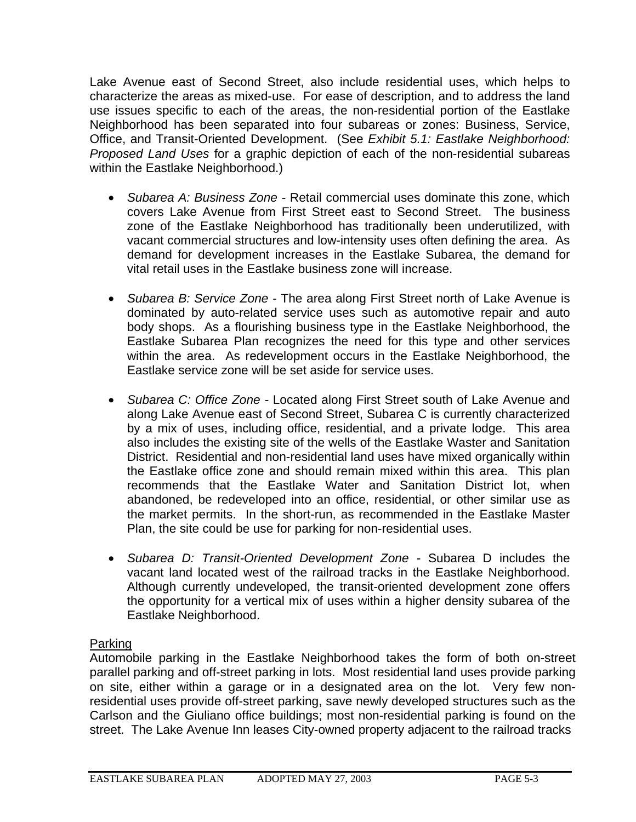Lake Avenue east of Second Street, also include residential uses, which helps to characterize the areas as mixed-use. For ease of description, and to address the land use issues specific to each of the areas, the non-residential portion of the Eastlake Neighborhood has been separated into four subareas or zones: Business, Service, Office, and Transit-Oriented Development. (See *Exhibit 5.1: Eastlake Neighborhood: Proposed Land Uses* for a graphic depiction of each of the non-residential subareas within the Eastlake Neighborhood.)

- *Subarea A: Business Zone* Retail commercial uses dominate this zone, which covers Lake Avenue from First Street east to Second Street. The business zone of the Eastlake Neighborhood has traditionally been underutilized, with vacant commercial structures and low-intensity uses often defining the area. As demand for development increases in the Eastlake Subarea, the demand for vital retail uses in the Eastlake business zone will increase.
- *Subarea B: Service Zone* The area along First Street north of Lake Avenue is dominated by auto-related service uses such as automotive repair and auto body shops. As a flourishing business type in the Eastlake Neighborhood, the Eastlake Subarea Plan recognizes the need for this type and other services within the area. As redevelopment occurs in the Eastlake Neighborhood, the Eastlake service zone will be set aside for service uses.
- *Subarea C: Office Zone* Located along First Street south of Lake Avenue and along Lake Avenue east of Second Street, Subarea C is currently characterized by a mix of uses, including office, residential, and a private lodge. This area also includes the existing site of the wells of the Eastlake Waster and Sanitation District. Residential and non-residential land uses have mixed organically within the Eastlake office zone and should remain mixed within this area. This plan recommends that the Eastlake Water and Sanitation District lot, when abandoned, be redeveloped into an office, residential, or other similar use as the market permits. In the short-run, as recommended in the Eastlake Master Plan, the site could be use for parking for non-residential uses.
- *Subarea D: Transit-Oriented Development Zone* Subarea D includes the vacant land located west of the railroad tracks in the Eastlake Neighborhood. Although currently undeveloped, the transit-oriented development zone offers the opportunity for a vertical mix of uses within a higher density subarea of the Eastlake Neighborhood.

## Parking

Automobile parking in the Eastlake Neighborhood takes the form of both on-street parallel parking and off-street parking in lots. Most residential land uses provide parking on site, either within a garage or in a designated area on the lot. Very few nonresidential uses provide off-street parking, save newly developed structures such as the Carlson and the Giuliano office buildings; most non-residential parking is found on the street. The Lake Avenue Inn leases City-owned property adjacent to the railroad tracks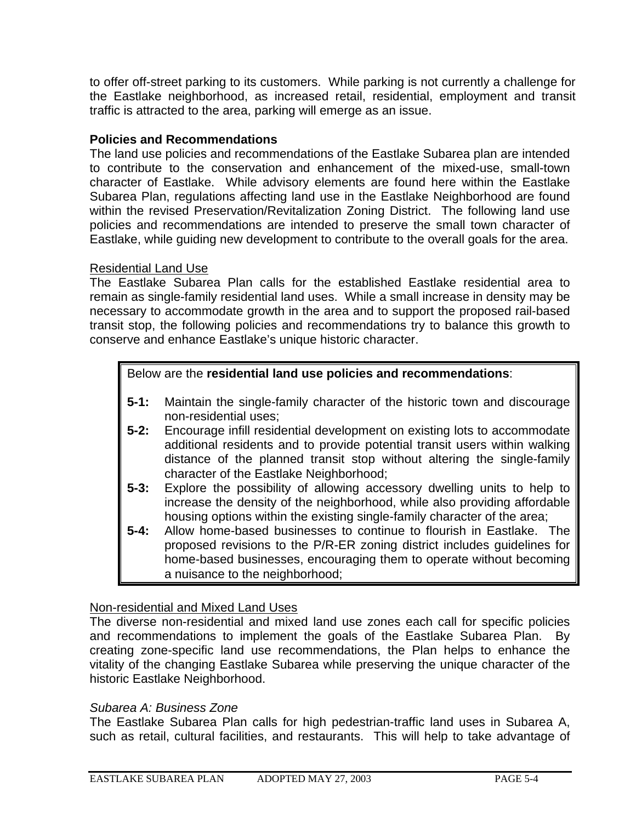to offer off-street parking to its customers. While parking is not currently a challenge for the Eastlake neighborhood, as increased retail, residential, employment and transit traffic is attracted to the area, parking will emerge as an issue.

#### **Policies and Recommendations**

The land use policies and recommendations of the Eastlake Subarea plan are intended to contribute to the conservation and enhancement of the mixed-use, small-town character of Eastlake. While advisory elements are found here within the Eastlake Subarea Plan, regulations affecting land use in the Eastlake Neighborhood are found within the revised Preservation/Revitalization Zoning District. The following land use policies and recommendations are intended to preserve the small town character of Eastlake, while guiding new development to contribute to the overall goals for the area.

#### Residential Land Use

The Eastlake Subarea Plan calls for the established Eastlake residential area to remain as single-family residential land uses. While a small increase in density may be necessary to accommodate growth in the area and to support the proposed rail-based transit stop, the following policies and recommendations try to balance this growth to conserve and enhance Eastlake's unique historic character.

#### Below are the **residential land use policies and recommendations**:

- **5-1:** Maintain the single-family character of the historic town and discourage non-residential uses;
- **5-2:** Encourage infill residential development on existing lots to accommodate additional residents and to provide potential transit users within walking distance of the planned transit stop without altering the single-family character of the Eastlake Neighborhood;
- **5-3:** Explore the possibility of allowing accessory dwelling units to help to increase the density of the neighborhood, while also providing affordable housing options within the existing single-family character of the area;
- **5-4:** Allow home-based businesses to continue to flourish in Eastlake. The proposed revisions to the P/R-ER zoning district includes guidelines for home-based businesses, encouraging them to operate without becoming a nuisance to the neighborhood;

## Non-residential and Mixed Land Uses

The diverse non-residential and mixed land use zones each call for specific policies and recommendations to implement the goals of the Eastlake Subarea Plan. By creating zone-specific land use recommendations, the Plan helps to enhance the vitality of the changing Eastlake Subarea while preserving the unique character of the historic Eastlake Neighborhood.

#### *Subarea A: Business Zone*

The Eastlake Subarea Plan calls for high pedestrian-traffic land uses in Subarea A, such as retail, cultural facilities, and restaurants. This will help to take advantage of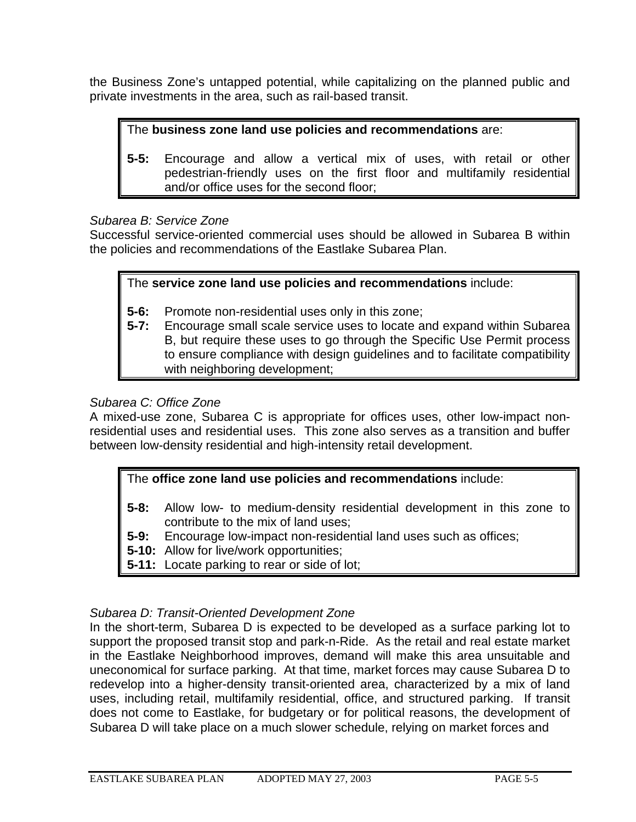the Business Zone's untapped potential, while capitalizing on the planned public and private investments in the area, such as rail-based transit.

## The **business zone land use policies and recommendations** are:

**5-5:** Encourage and allow a vertical mix of uses, with retail or other pedestrian-friendly uses on the first floor and multifamily residential and/or office uses for the second floor;

## *Subarea B: Service Zone*

Successful service-oriented commercial uses should be allowed in Subarea B within the policies and recommendations of the Eastlake Subarea Plan.

## The **service zone land use policies and recommendations** include:

- **5-6:** Promote non-residential uses only in this zone;
- **5-7:** Encourage small scale service uses to locate and expand within Subarea B, but require these uses to go through the Specific Use Permit process to ensure compliance with design guidelines and to facilitate compatibility with neighboring development;

## *Subarea C: Office Zone*

A mixed-use zone, Subarea C is appropriate for offices uses, other low-impact nonresidential uses and residential uses. This zone also serves as a transition and buffer between low-density residential and high-intensity retail development.

## The **office zone land use policies and recommendations** include:

- **5-8:** Allow low- to medium-density residential development in this zone to contribute to the mix of land uses;
- **5-9:** Encourage low-impact non-residential land uses such as offices;
- **5-10:** Allow for live/work opportunities;
- **5-11:** Locate parking to rear or side of lot;

## *Subarea D: Transit-Oriented Development Zone*

In the short-term, Subarea D is expected to be developed as a surface parking lot to support the proposed transit stop and park-n-Ride. As the retail and real estate market in the Eastlake Neighborhood improves, demand will make this area unsuitable and uneconomical for surface parking. At that time, market forces may cause Subarea D to redevelop into a higher-density transit-oriented area, characterized by a mix of land uses, including retail, multifamily residential, office, and structured parking. If transit does not come to Eastlake, for budgetary or for political reasons, the development of Subarea D will take place on a much slower schedule, relying on market forces and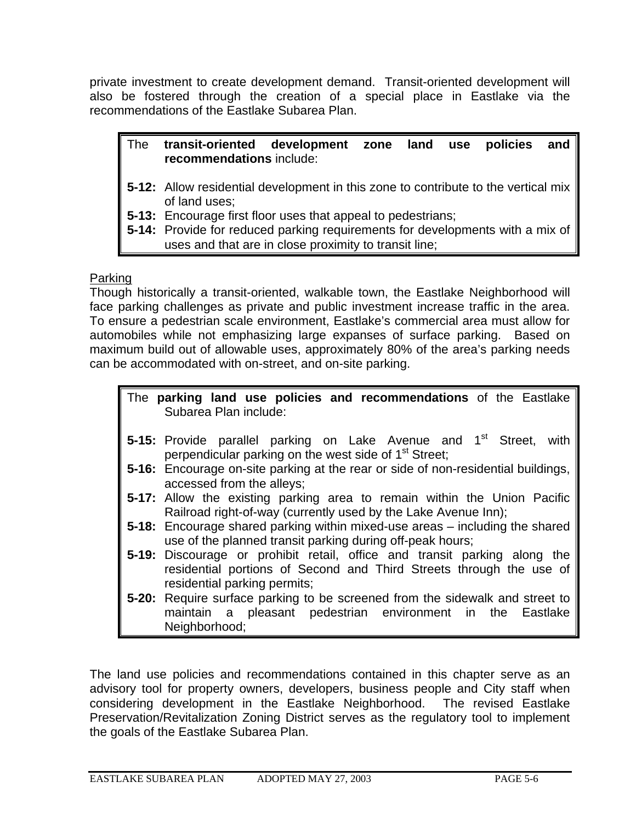private investment to create development demand. Transit-oriented development will also be fostered through the creation of a special place in Eastlake via the recommendations of the Eastlake Subarea Plan.

#### The **transit-oriented development zone land use policies and recommendations** include:

- **5-12:** Allow residential development in this zone to contribute to the vertical mix of land uses;
- **5-13:** Encourage first floor uses that appeal to pedestrians;
- **5-14:** Provide for reduced parking requirements for developments with a mix of uses and that are in close proximity to transit line;

## Parking

Though historically a transit-oriented, walkable town, the Eastlake Neighborhood will face parking challenges as private and public investment increase traffic in the area. To ensure a pedestrian scale environment, Eastlake's commercial area must allow for automobiles while not emphasizing large expanses of surface parking. Based on maximum build out of allowable uses, approximately 80% of the area's parking needs can be accommodated with on-street, and on-site parking.

## The **parking land use policies and recommendations** of the Eastlake Subarea Plan include:

- **5-15:** Provide parallel parking on Lake Avenue and 1<sup>st</sup> Street, with perpendicular parking on the west side of 1<sup>st</sup> Street;
- **5-16:** Encourage on-site parking at the rear or side of non-residential buildings, accessed from the alleys;
- **5-17:** Allow the existing parking area to remain within the Union Pacific Railroad right-of-way (currently used by the Lake Avenue Inn);
- **5-18:** Encourage shared parking within mixed-use areas including the shared use of the planned transit parking during off-peak hours;
- **5-19:** Discourage or prohibit retail, office and transit parking along the residential portions of Second and Third Streets through the use of residential parking permits;
- **5-20:** Require surface parking to be screened from the sidewalk and street to maintain a pleasant pedestrian environment in the Eastlake Neighborhood;

The land use policies and recommendations contained in this chapter serve as an advisory tool for property owners, developers, business people and City staff when considering development in the Eastlake Neighborhood. The revised Eastlake Preservation/Revitalization Zoning District serves as the regulatory tool to implement the goals of the Eastlake Subarea Plan.